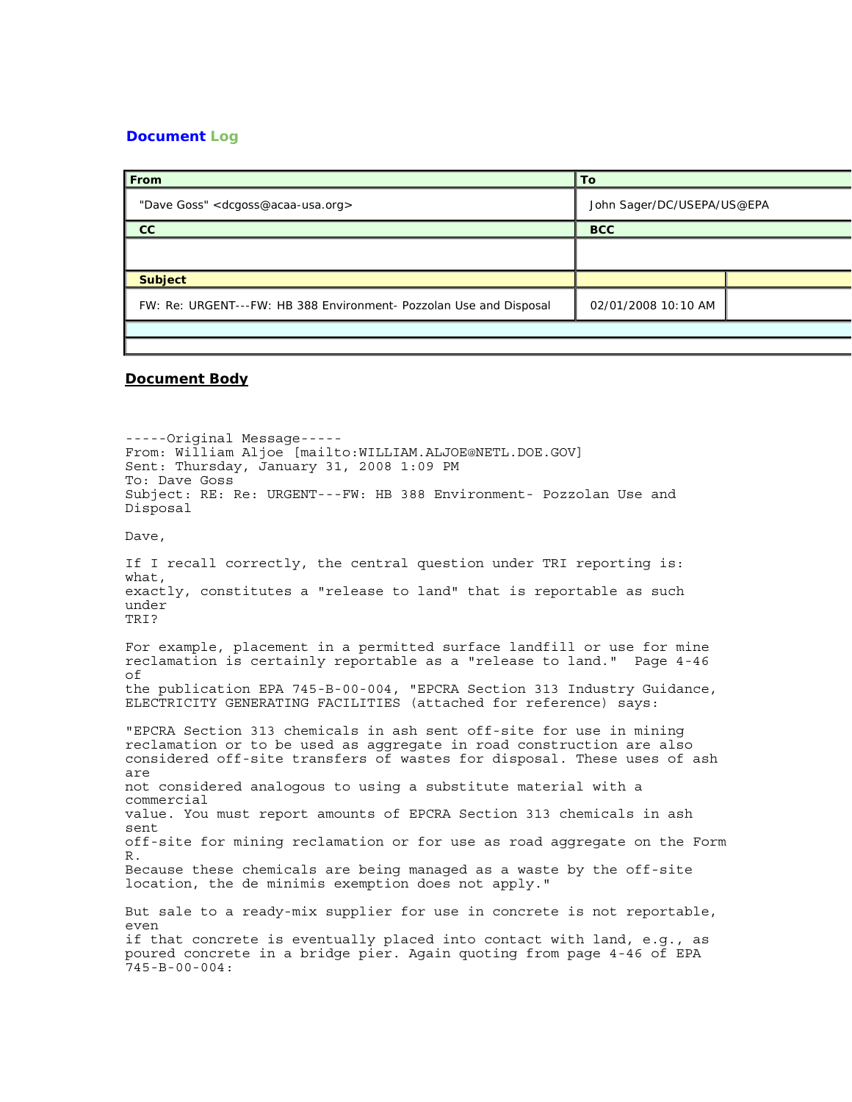## **Document Log**

| From                                                               | ∣ To                       |  |
|--------------------------------------------------------------------|----------------------------|--|
| "Dave Goss" <dcgoss@acaa-usa.org></dcgoss@acaa-usa.org>            | John Sager/DC/USEPA/US@EPA |  |
| cc                                                                 | <b>BCC</b>                 |  |
|                                                                    |                            |  |
| <b>Subject</b>                                                     |                            |  |
| FW: Re: URGENT---FW: HB 388 Environment- Pozzolan Use and Disposal | 02/01/2008 10:10 AM        |  |
|                                                                    |                            |  |

## **Document Body**

-----Original Message----- From: William Aljoe [mailto:WILLIAM.ALJOE@NETL.DOE.GOV] Sent: Thursday, January 31, 2008 1:09 PM To: Dave Goss Subject: RE: Re: URGENT---FW: HB 388 Environment- Pozzolan Use and Disposal Dave, If I recall correctly, the central question under TRI reporting is: what, exactly, constitutes a "release to land" that is reportable as such under TRI? For example, placement in a permitted surface landfill or use for mine reclamation is certainly reportable as a "release to land." Page 4-46 of the publication EPA 745-B-00-004, "EPCRA Section 313 Industry Guidance, ELECTRICITY GENERATING FACILITIES (attached for reference) says: "EPCRA Section 313 chemicals in ash sent off-site for use in mining reclamation or to be used as aggregate in road construction are also considered off-site transfers of wastes for disposal. These uses of ash are not considered analogous to using a substitute material with a commercial value. You must report amounts of EPCRA Section 313 chemicals in ash sent off-site for mining reclamation or for use as road aggregate on the Form R. Because these chemicals are being managed as a waste by the off-site location, the de minimis exemption does not apply." But sale to a ready-mix supplier for use in concrete is not reportable, even if that concrete is eventually placed into contact with land, e.g., as poured concrete in a bridge pier. Again quoting from page 4-46 of EPA 745-B-00-004: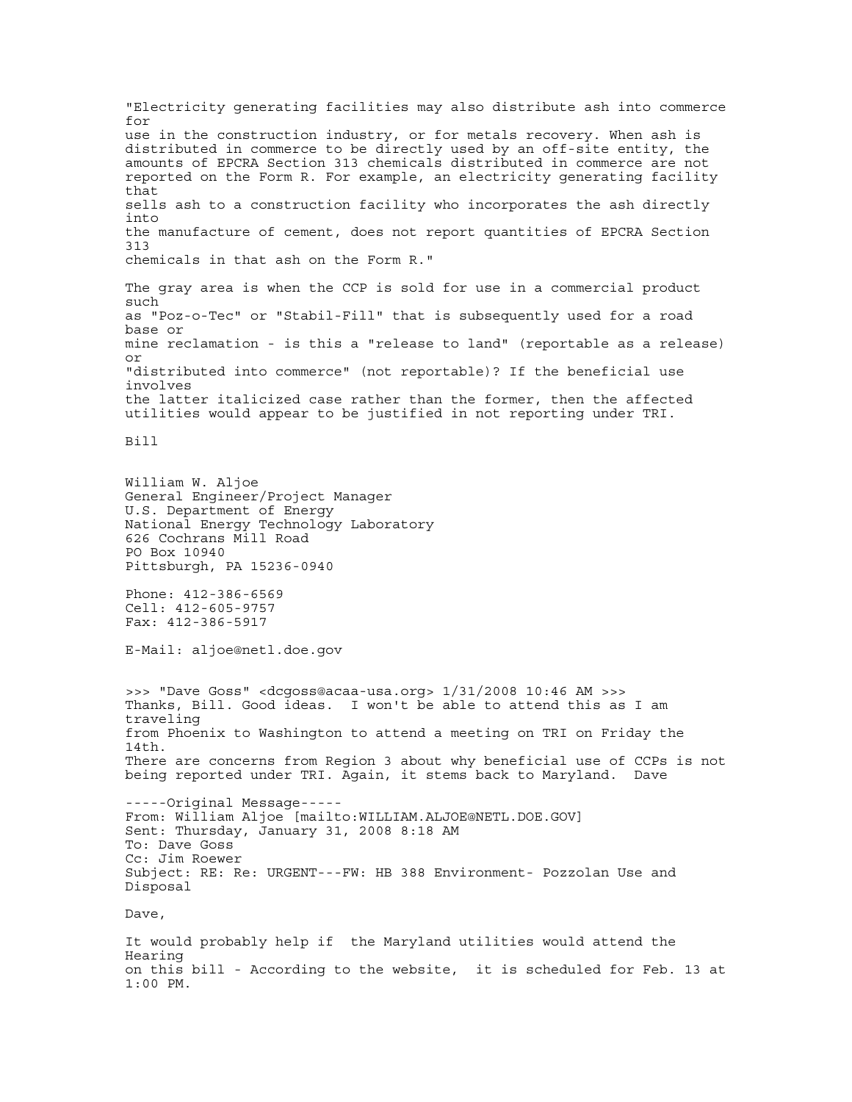"Electricity generating facilities may also distribute ash into commerce for use in the construction industry, or for metals recovery. When ash is distributed in commerce to be directly used by an off-site entity, the amounts of EPCRA Section 313 chemicals distributed in commerce are not reported on the Form R. For example, an electricity generating facility that sells ash to a construction facility who incorporates the ash directly into the manufacture of cement, does not report quantities of EPCRA Section 313 chemicals in that ash on the Form R." The gray area is when the CCP is sold for use in a commercial product such as "Poz-o-Tec" or "Stabil-Fill" that is subsequently used for a road base or mine reclamation - is this a "release to land" (reportable as a release) or "distributed into commerce" (not reportable)? If the beneficial use involves the latter italicized case rather than the former, then the affected utilities would appear to be justified in not reporting under TRI. Bill William W. Aljoe General Engineer/Project Manager U.S. Department of Energy National Energy Technology Laboratory 626 Cochrans Mill Road PO Box 10940 Pittsburgh, PA 15236-0940 Phone: 412-386-6569 Cell: 412-605-9757 Fax: 412-386-5917 E-Mail: aljoe@netl.doe.gov >>> "Dave Goss" <dcgoss@acaa-usa.org> 1/31/2008 10:46 AM >>> Thanks, Bill. Good ideas. I won't be able to attend this as I am traveling from Phoenix to Washington to attend a meeting on TRI on Friday the  $14th.$ There are concerns from Region 3 about why beneficial use of CCPs is not being reported under TRI. Again, it stems back to Maryland. Dave -----Original Message----- From: William Aljoe [mailto:WILLIAM.ALJOE@NETL.DOE.GOV] Sent: Thursday, January 31, 2008 8:18 AM To: Dave Goss Cc: Jim Roewer Subject: RE: Re: URGENT---FW: HB 388 Environment- Pozzolan Use and Disposal Dave, It would probably help if the Maryland utilities would attend the Hearing on this bill - According to the website, it is scheduled for Feb. 13 at 1:00 PM.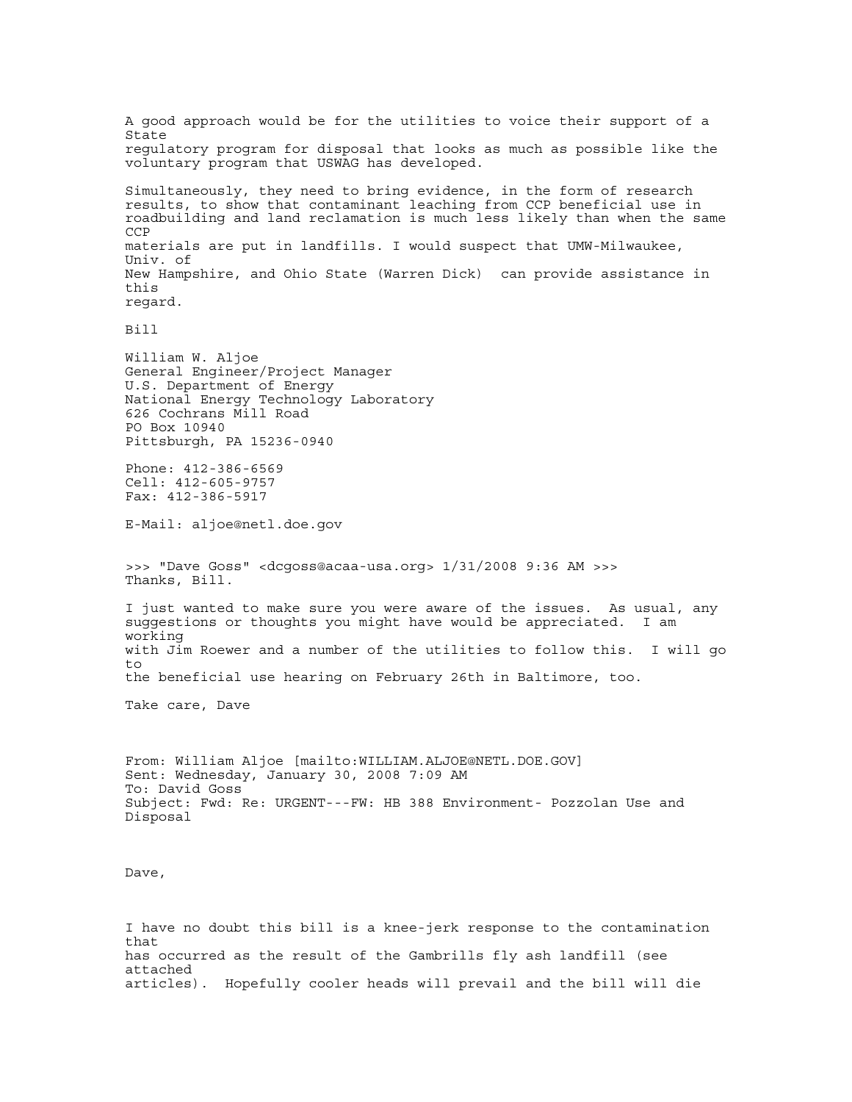A good approach would be for the utilities to voice their support of a State regulatory program for disposal that looks as much as possible like the voluntary program that USWAG has developed. Simultaneously, they need to bring evidence, in the form of research results, to show that contaminant leaching from CCP beneficial use in roadbuilding and land reclamation is much less likely than when the same CCP materials are put in landfills. I would suspect that UMW-Milwaukee, Univ. of New Hampshire, and Ohio State (Warren Dick) can provide assistance in this regard. Bill William W. Aljoe General Engineer/Project Manager U.S. Department of Energy National Energy Technology Laboratory 626 Cochrans Mill Road PO Box 10940 Pittsburgh, PA 15236-0940 Phone: 412-386-6569 Cell: 412-605-9757 Fax: 412-386-5917 E-Mail: aljoe@netl.doe.gov >>> "Dave Goss" <dcgoss@acaa-usa.org> 1/31/2008 9:36 AM >>> Thanks, Bill. I just wanted to make sure you were aware of the issues. As usual, any suggestions or thoughts you might have would be appreciated. I am working with Jim Roewer and a number of the utilities to follow this. I will go to the beneficial use hearing on February 26th in Baltimore, too. Take care, Dave From: William Aljoe [mailto:WILLIAM.ALJOE@NETL.DOE.GOV] Sent: Wednesday, January 30, 2008 7:09 AM To: David Goss Subject: Fwd: Re: URGENT---FW: HB 388 Environment- Pozzolan Use and Disposal Dave, I have no doubt this bill is a knee-jerk response to the contamination that has occurred as the result of the Gambrills fly ash landfill (see attached articles). Hopefully cooler heads will prevail and the bill will die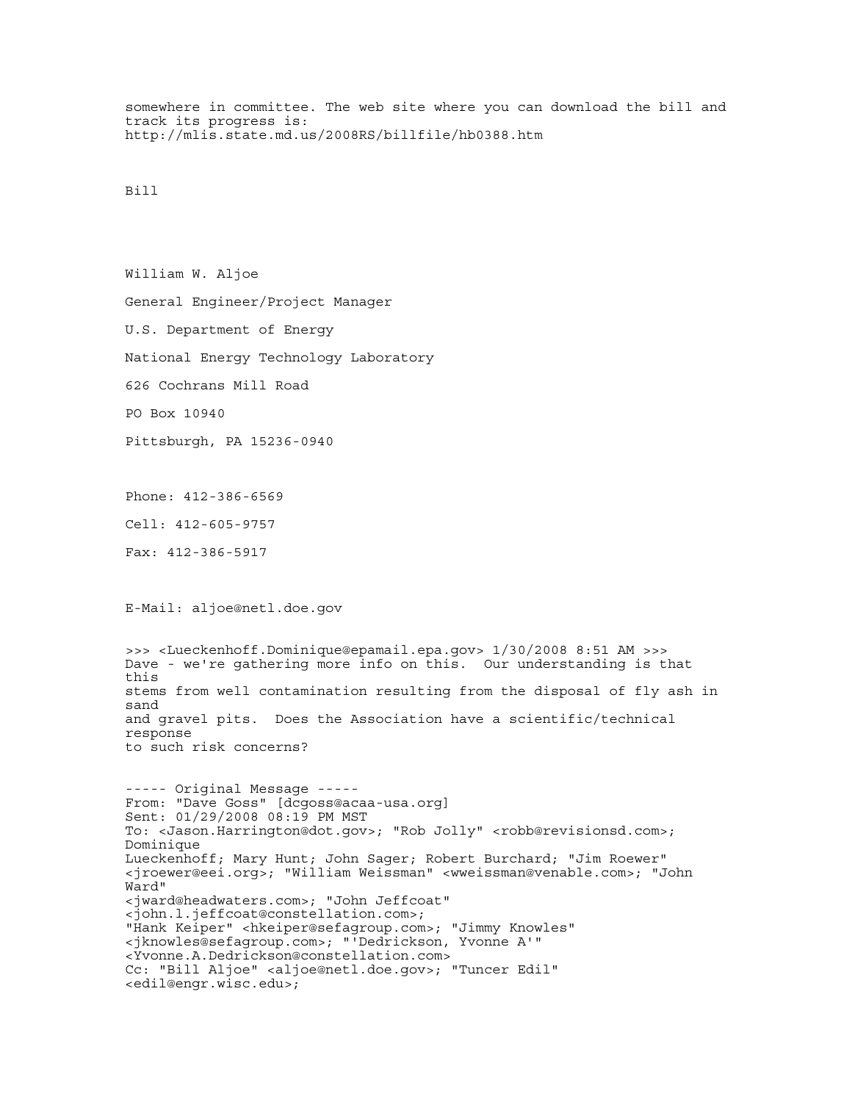somewhere in committee. The web site where you can download the bill and track its progress is: http://mlis.state.md.us/2008RS/billfile/hb0388.htm

## Bill

William W. Aljoe General Engineer/Project Manager U.S. Department of Energy National Energy Technology Laboratory 626 Cochrans Mill Road PO Box 10940 Pittsburgh, PA 15236-0940 Phone: 412-386-6569 Cell: 412-605-9757 Fax: 412-386-5917 E-Mail: aljoe@netl.doe.gov >>> <Lueckenhoff.Dominique@epamail.epa.gov> 1/30/2008 8:51 AM >>> Dave - we're gathering more info on this. Our understanding is that this stems from well contamination resulting from the disposal of fly ash in sand and gravel pits. Does the Association have a scientific/technical response to such risk concerns? ----- Original Message ----- From: "Dave Goss" [dcgoss@acaa-usa.org] Sent: 01/29/2008 08:19 PM MST To: <Jason.Harrington@dot.gov>; "Rob Jolly" <robb@revisionsd.com>; Dominique Lueckenhoff; Mary Hunt; John Sager; Robert Burchard; "Jim Roewer" <jroewer@eei.org>; "William Weissman" <wweissman@venable.com>; "John Ward" <jward@headwaters.com>; "John Jeffcoat" <john.l.jeffcoat@constellation.com>; "Hank Keiper" <hkeiper@sefagroup.com>; "Jimmy Knowles" <jknowles@sefagroup.com>; "'Dedrickson, Yvonne A'" <Yvonne.A.Dedrickson@constellation.com> Cc: "Bill Aljoe" <aljoe@netl.doe.gov>; "Tuncer Edil" <edil@engr.wisc.edu>;